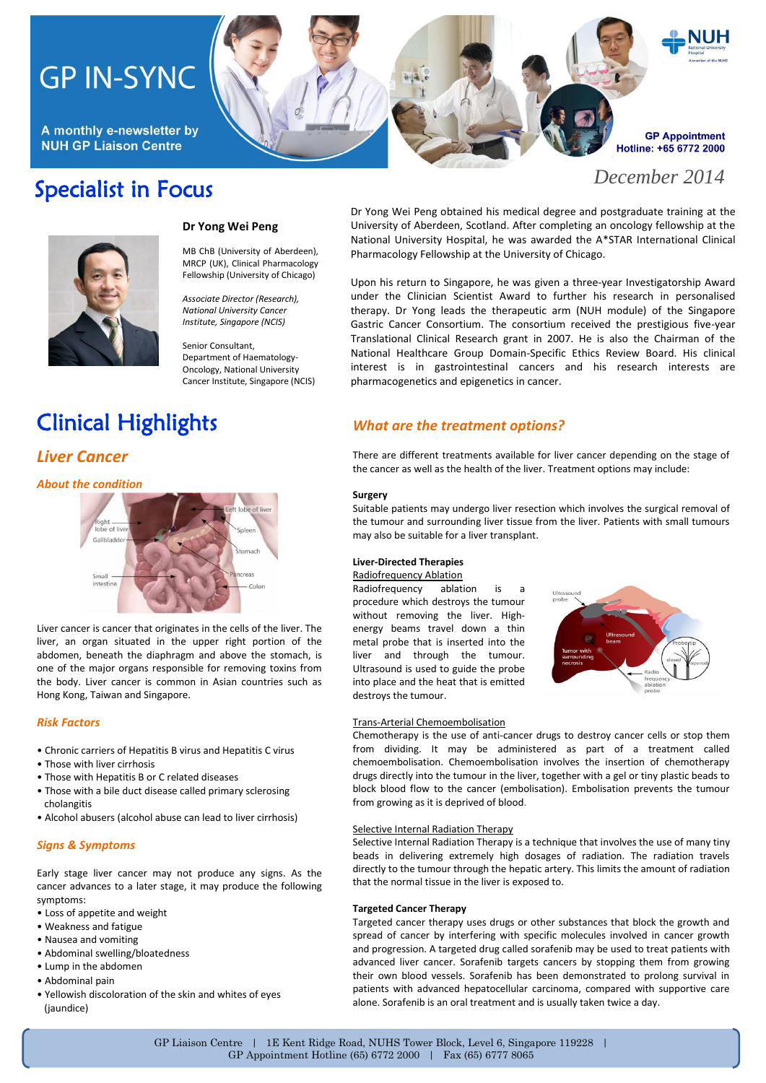# **GP IN-SYNC**

A monthly e-newsletter by **NUH GP Liaison Centre** 

## Specialist in Focus

## **GP Appointment** Hotline: +65 6772 2000

*December 2014*



### **Dr Yong Wei Peng**

MB ChB (University of Aberdeen), MRCP (UK), Clinical Pharmacology Fellowship (University of Chicago)

*Associate Director (Research), National University Cancer Institute, Singapore (NCIS)*

Senior Consultant, Department of Haematology-Oncology, National University Cancer Institute, Singapore (NCIS)

# Clinical Highlights

## *Liver Cancer*

*About the condition*



Liver cancer is cancer that originates in the cells of the liver. The liver, an organ situated in the upper right portion of the abdomen, beneath the diaphragm and above the stomach, is one of the major organs responsible for removing toxins from the body. Liver cancer is common in Asian countries such as Hong Kong, Taiwan and Singapore.

### *Risk Factors*

- Chronic carriers of Hepatitis B virus and Hepatitis C virus
- Those with liver cirrhosis
- Those with Hepatitis B or C related diseases
- Those with a bile duct disease called primary sclerosing cholangitis
- Alcohol abusers (alcohol abuse can lead to liver cirrhosis)

## *Signs & Symptoms*

Early stage liver cancer may not produce any signs. As the cancer advances to a later stage, it may produce the following symptoms:

- Loss of appetite and weight
- Weakness and fatigue
- Nausea and vomiting
- Abdominal swelling/bloatedness
- Lump in the abdomen
- Abdominal pain
- Yellowish discoloration of the skin and whites of eyes (jaundice)

Dr Yong Wei Peng obtained his medical degree and postgraduate training at the University of Aberdeen, Scotland. After completing an oncology fellowship at the National University Hospital, he was awarded the A\*STAR International Clinical Pharmacology Fellowship at the University of Chicago.

Upon his return to Singapore, he was given a three-year Investigatorship Award under the Clinician Scientist Award to further his research in personalised therapy. Dr Yong leads the therapeutic arm (NUH module) of the Singapore Gastric Cancer Consortium. The consortium received the prestigious five-year Translational Clinical Research grant in 2007. He is also the Chairman of the National Healthcare Group Domain-Specific Ethics Review Board. His clinical interest is in gastrointestinal cancers and his research interests are pharmacogenetics and epigenetics in cancer.

## *What are the treatment options?*

There are different treatments available for liver cancer depending on the stage of the cancer as well as the health of the liver. Treatment options may include:

#### **Surgery**

Suitable patients may undergo liver resection which involves the surgical removal of the tumour and surrounding liver tissue from the liver. Patients with small tumours may also be suitable for a liver transplant.

### **Liver-Directed Therapies**

### Radiofrequency Ablation

Radiofrequency ablation is a procedure which destroys the tumour without removing the liver. Highenergy beams travel down a thin metal probe that is inserted into the liver and through the tumour. Ultrasound is used to guide the probe into place and the heat that is emitted destroys the tumour.



#### Trans-Arterial Chemoembolisation

Chemotherapy is the use of anti-cancer drugs to destroy cancer cells or stop them from dividing. It may be administered as part of a treatment called chemoembolisation. Chemoembolisation involves the insertion of chemotherapy drugs directly into the tumour in the liver, together with a gel or tiny plastic beads to block blood flow to the cancer (embolisation). Embolisation prevents the tumour from growing as it is deprived of blood.

#### Selective Internal Radiation Therapy

Selective Internal Radiation Therapy is a technique that involves the use of many tiny beads in delivering extremely high dosages of radiation. The radiation travels directly to the tumour through the hepatic artery. This limits the amount of radiation that the normal tissue in the liver is exposed to.

#### **Targeted Cancer Therapy**

Targeted cancer therapy uses drugs or other substances that block the growth and spread of cancer by interfering with specific molecules involved in cancer growth and progression. A targeted drug called sorafenib may be used to treat patients with advanced liver cancer. Sorafenib targets cancers by stopping them from growing their own blood vessels. Sorafenib has been demonstrated to prolong survival in patients with advanced hepatocellular carcinoma, compared with supportive care alone. Sorafenib is an oral treatment and is usually taken twice a day.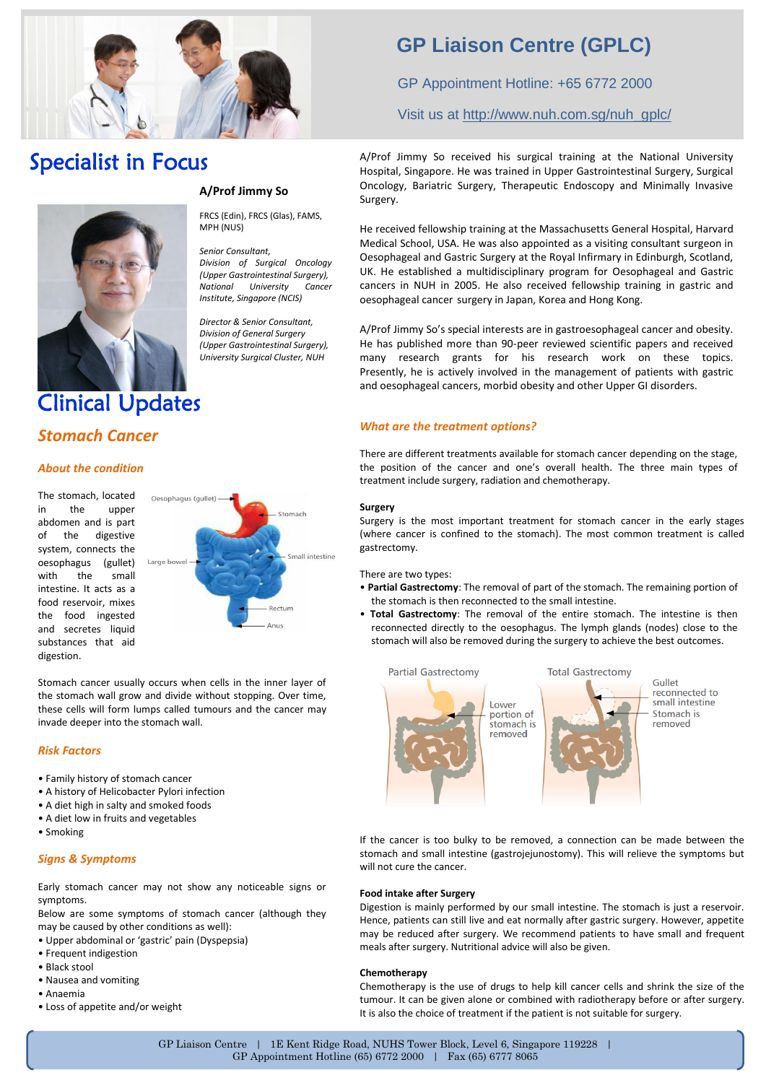

## Specialist in Focus



## **A/Prof Jimmy So**

FRCS (Edin), FRCS (Glas), FAMS, MPH (NUS)

*Senior Consultant, Division of Surgical Oncology (Upper Gastrointestinal Surgery), National University Institute, Singapore (NCIS)*

*Director & Senior Consultant, Division of General Surgery (Upper Gastrointestinal Surgery), University Surgical Cluster, NUH*

## Clinical Updates

## *Stomach Cancer*

### *About the condition*

The stomach, located in the upper abdomen and is part of the digestive system, connects the oesophagus (gullet) with the small intestine. It acts as a food reservoir, mixes the food ingested and secretes liquid substances that aid digestion.



Stomach cancer usually occurs when cells in the inner layer of the stomach wall grow and divide without stopping. Over time, these cells will form lumps called tumours and the cancer may invade deeper into the stomach wall.

### *Risk Factors*

- Family history of stomach cancer
- A history of Helicobacter Pylori infection
- A diet high in salty and smoked foods
- A diet low in fruits and vegetables
- Smoking

## *Signs & Symptoms*

Early stomach cancer may not show any noticeable signs or symptoms.

Below are some symptoms of stomach cancer (although they may be caused by other conditions as well):

- Upper abdominal or 'gastric' pain (Dyspepsia)
- Frequent indigestion
- Black stool
- Nausea and vomiting
- Anaemia
- Loss of appetite and/or weight

## **GP Liaison Centre (GPLC)**

GP Appointment Hotline: +65 6772 2000

Visit us at [http://www.nuh.com.sg/nuh\\_gplc/](http://www.nuh.com.sg/nuh_gplc/)

A/Prof Jimmy So received his surgical training at the National University Hospital, Singapore. He was trained in Upper Gastrointestinal Surgery, Surgical Oncology, Bariatric Surgery, Therapeutic Endoscopy and Minimally Invasive Surgery.

He received fellowship training at the Massachusetts General Hospital, Harvard Medical School, USA. He was also appointed as a visiting consultant surgeon in Oesophageal and Gastric Surgery at the Royal Infirmary in Edinburgh, Scotland, UK. He established a multidisciplinary program for Oesophageal and Gastric cancers in NUH in 2005. He also received fellowship training in gastric and oesophageal cancer surgery in Japan, Korea and Hong Kong.

A/Prof Jimmy So's special interests are in gastroesophageal cancer and obesity. He has published more than 90-peer reviewed scientific papers and received many research grants for his research work on these topics. Presently, he is actively involved in the management of patients with gastric and oesophageal cancers, morbid obesity and other Upper GI disorders.

## *What are the treatment options?*

There are different treatments available for stomach cancer depending on the stage, the position of the cancer and one's overall health. The three main types of treatment include surgery, radiation and chemotherapy.

### **Surgery**

Surgery is the most important treatment for stomach cancer in the early stages (where cancer is confined to the stomach). The most common treatment is called gastrectomy.

There are two types:

- **Partial Gastrectomy**: The removal of part of the stomach. The remaining portion of the stomach is then reconnected to the small intestine.
- **Total Gastrectomy**: The removal of the entire stomach. The intestine is then reconnected directly to the oesophagus. The lymph glands (nodes) close to the stomach will also be removed during the surgery to achieve the best outcomes.



If the cancer is too bulky to be removed, a connection can be made between the stomach and small intestine (gastrojejunostomy). This will relieve the symptoms but will not cure the cancer.

#### **Food intake after Surgery**

Digestion is mainly performed by our small intestine. The stomach is just a reservoir. Hence, patients can still live and eat normally after gastric surgery. However, appetite may be reduced after surgery. We recommend patients to have small and frequent meals after surgery. Nutritional advice will also be given.

### **Chemotherapy**

Chemotherapy is the use of drugs to help kill cancer cells and shrink the size of the tumour. It can be given alone or combined with radiotherapy before or after surgery. It is also the choice of treatment if the patient is not suitable for surgery.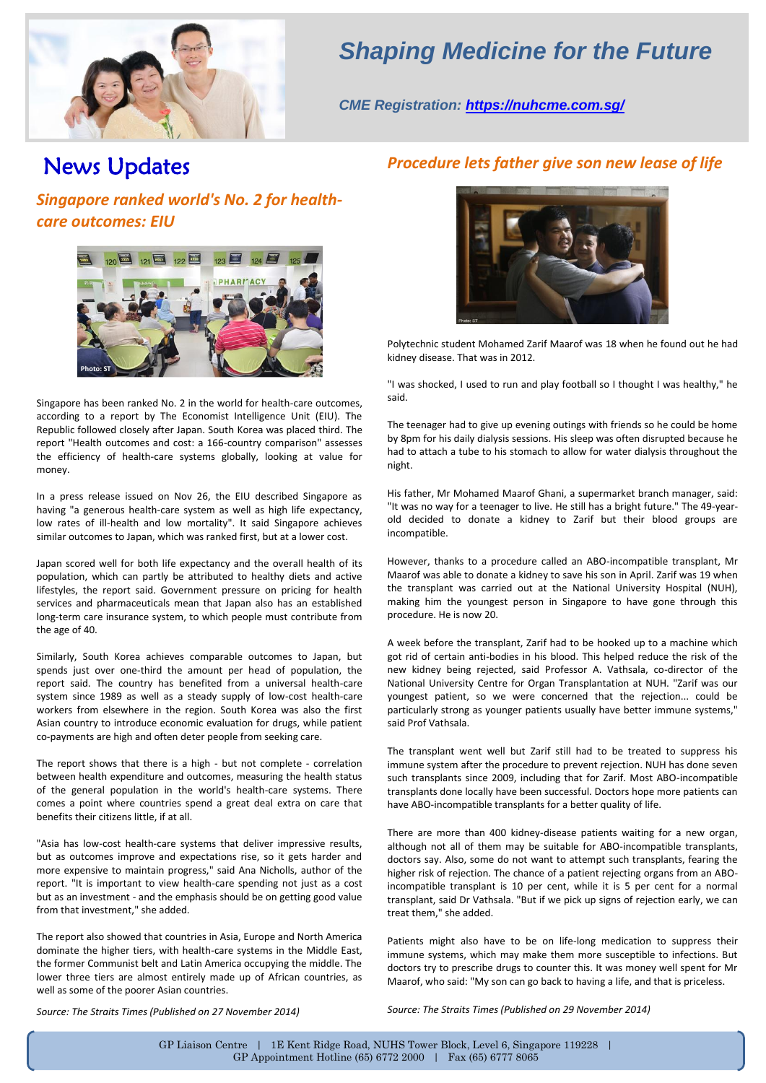

## *Shaping Medicine for the Future*

*CME Registration:<https://nuhcme.com.sg/>*

## News Updates

*Singapore ranked world's No. 2 for healthcare outcomes: EIU*



Singapore has been ranked No. 2 in the world for health-care outcomes, according to a report by The Economist Intelligence Unit (EIU). The Republic followed closely after Japan. South Korea was placed third. The report "Health outcomes and cost: a 166-country comparison" assesses the efficiency of health-care systems globally, looking at value for money.

In a press release issued on Nov 26, the EIU described Singapore as having "a generous health-care system as well as high life expectancy, low rates of ill-health and low mortality". It said Singapore achieves similar outcomes to Japan, which was ranked first, but at a lower cost.

Japan scored well for both life expectancy and the overall health of its population, which can partly be attributed to healthy diets and active lifestyles, the report said. Government pressure on pricing for health services and pharmaceuticals mean that Japan also has an established long-term care insurance system, to which people must contribute from the age of 40.

Similarly, South Korea achieves comparable outcomes to Japan, but spends just over one-third the amount per head of population, the report said. The country has benefited from a universal health-care system since 1989 as well as a steady supply of low-cost health-care workers from elsewhere in the region. South Korea was also the first Asian country to introduce economic evaluation for drugs, while patient co-payments are high and often deter people from seeking care.

The report shows that there is a high - but not complete - correlation between health expenditure and outcomes, measuring the health status of the general population in the world's health-care systems. There comes a point where countries spend a great deal extra on care that benefits their citizens little, if at all.

"Asia has low-cost health-care systems that deliver impressive results, but as outcomes improve and expectations rise, so it gets harder and more expensive to maintain progress," said Ana Nicholls, author of the report. "It is important to view health-care spending not just as a cost but as an investment - and the emphasis should be on getting good value from that investment," she added.

The report also showed that countries in Asia, Europe and North America dominate the higher tiers, with health-care systems in the Middle East, the former Communist belt and Latin America occupying the middle. The lower three tiers are almost entirely made up of African countries, as well as some of the poorer Asian countries.

## *Procedure lets father give son new lease of life*



Polytechnic student Mohamed Zarif Maarof was 18 when he found out he had kidney disease. That was in 2012.

"I was shocked, I used to run and play football so I thought I was healthy," he said.

The teenager had to give up evening outings with friends so he could be home by 8pm for his daily dialysis sessions. His sleep was often disrupted because he had to attach a tube to his stomach to allow for water dialysis throughout the night.

His father, Mr Mohamed Maarof Ghani, a supermarket branch manager, said: "It was no way for a teenager to live. He still has a bright future." The 49-yearold decided to donate a kidney to Zarif but their blood groups are incompatible.

However, thanks to a procedure called an ABO-incompatible transplant, Mr Maarof was able to donate a kidney to save his son in April. Zarif was 19 when the transplant was carried out at the National University Hospital (NUH), making him the youngest person in Singapore to have gone through this procedure. He is now 20.

A week before the transplant, Zarif had to be hooked up to a machine which got rid of certain anti-bodies in his blood. This helped reduce the risk of the new kidney being rejected, said Professor A. Vathsala, co-director of the National University Centre for Organ Transplantation at NUH. "Zarif was our youngest patient, so we were concerned that the rejection... could be particularly strong as younger patients usually have better immune systems," said Prof Vathsala.

The transplant went well but Zarif still had to be treated to suppress his immune system after the procedure to prevent rejection. NUH has done seven such transplants since 2009, including that for Zarif. Most ABO-incompatible transplants done locally have been successful. Doctors hope more patients can have ABO-incompatible transplants for a better quality of life.

There are more than 400 kidney-disease patients waiting for a new organ, although not all of them may be suitable for ABO-incompatible transplants, doctors say. Also, some do not want to attempt such transplants, fearing the higher risk of rejection. The chance of a patient rejecting organs from an ABOincompatible transplant is 10 per cent, while it is 5 per cent for a normal transplant, said Dr Vathsala. "But if we pick up signs of rejection early, we can treat them," she added.

Patients might also have to be on life-long medication to suppress their immune systems, which may make them more susceptible to infections. But doctors try to prescribe drugs to counter this. It was money well spent for Mr Maarof, who said: "My son can go back to having a life, and that is priceless.

*Source: The Straits Times (Published on 27 November 2014)* 

*Source: The Straits Times (Published on 29 November 2014)*